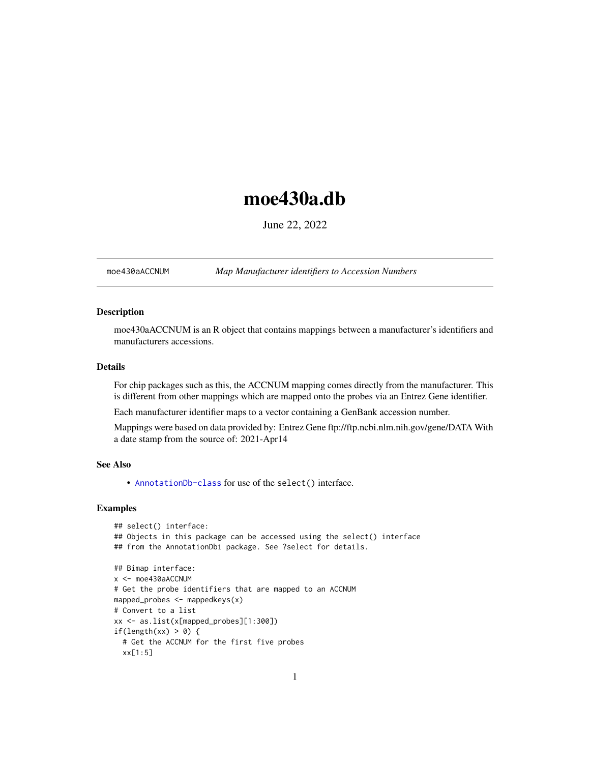# <span id="page-0-1"></span>moe430a.db

June 22, 2022

<span id="page-0-0"></span>moe430aACCNUM *Map Manufacturer identifiers to Accession Numbers*

# Description

moe430aACCNUM is an R object that contains mappings between a manufacturer's identifiers and manufacturers accessions.

# Details

For chip packages such as this, the ACCNUM mapping comes directly from the manufacturer. This is different from other mappings which are mapped onto the probes via an Entrez Gene identifier.

Each manufacturer identifier maps to a vector containing a GenBank accession number.

Mappings were based on data provided by: Entrez Gene ftp://ftp.ncbi.nlm.nih.gov/gene/DATA With a date stamp from the source of: 2021-Apr14

# See Also

• AnnotationDb-class for use of the select() interface.

```
## select() interface:
## Objects in this package can be accessed using the select() interface
## from the AnnotationDbi package. See ?select for details.
## Bimap interface:
x <- moe430aACCNUM
# Get the probe identifiers that are mapped to an ACCNUM
mapped_probes <- mappedkeys(x)
# Convert to a list
xx <- as.list(x[mapped_probes][1:300])
if(length(xx) > 0) {
  # Get the ACCNUM for the first five probes
  xx[1:5]
```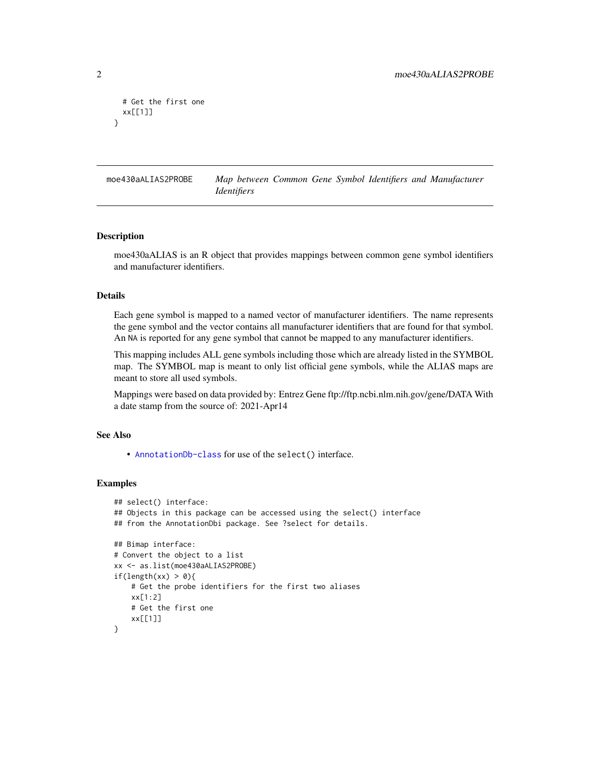```
# Get the first one
 xx[[1]]
}
```
moe430aALIAS2PROBE *Map between Common Gene Symbol Identifiers and Manufacturer Identifiers*

#### Description

moe430aALIAS is an R object that provides mappings between common gene symbol identifiers and manufacturer identifiers.

# Details

Each gene symbol is mapped to a named vector of manufacturer identifiers. The name represents the gene symbol and the vector contains all manufacturer identifiers that are found for that symbol. An NA is reported for any gene symbol that cannot be mapped to any manufacturer identifiers.

This mapping includes ALL gene symbols including those which are already listed in the SYMBOL map. The SYMBOL map is meant to only list official gene symbols, while the ALIAS maps are meant to store all used symbols.

Mappings were based on data provided by: Entrez Gene ftp://ftp.ncbi.nlm.nih.gov/gene/DATA With a date stamp from the source of: 2021-Apr14

# See Also

• [AnnotationDb-class](#page-0-0) for use of the select() interface.

```
## select() interface:
## Objects in this package can be accessed using the select() interface
## from the AnnotationDbi package. See ?select for details.
## Bimap interface:
# Convert the object to a list
xx <- as.list(moe430aALIAS2PROBE)
if(length(xx) > 0){
    # Get the probe identifiers for the first two aliases
   xx[1:2]
   # Get the first one
   xx[[1]]
}
```
<span id="page-1-0"></span>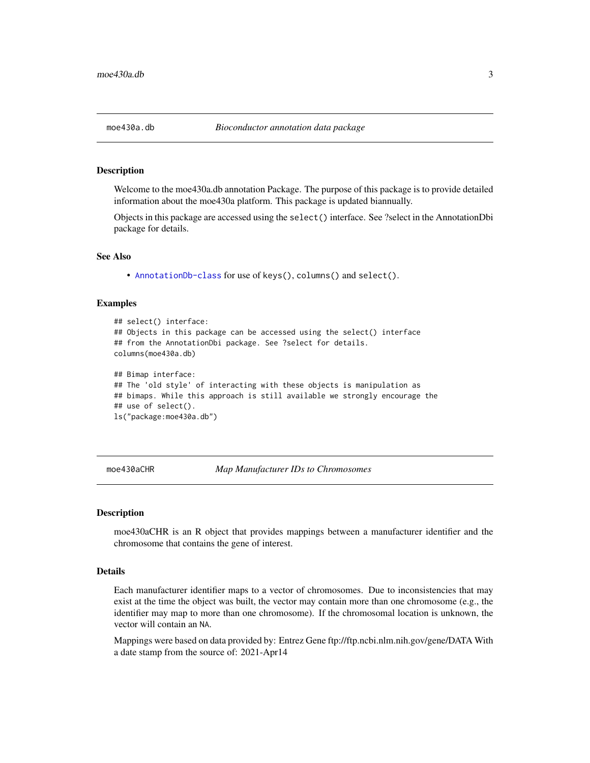<span id="page-2-0"></span>

Welcome to the moe430a.db annotation Package. The purpose of this package is to provide detailed information about the moe430a platform. This package is updated biannually.

Objects in this package are accessed using the select() interface. See ?select in the AnnotationDbi package for details.

#### See Also

• [AnnotationDb-class](#page-0-0) for use of keys(), columns() and select().

#### Examples

```
## select() interface:
## Objects in this package can be accessed using the select() interface
## from the AnnotationDbi package. See ?select for details.
columns(moe430a.db)
## Bimap interface:
## The 'old style' of interacting with these objects is manipulation as
## bimaps. While this approach is still available we strongly encourage the
## use of select().
ls("package:moe430a.db")
```
moe430aCHR *Map Manufacturer IDs to Chromosomes*

#### **Description**

moe430aCHR is an R object that provides mappings between a manufacturer identifier and the chromosome that contains the gene of interest.

# Details

Each manufacturer identifier maps to a vector of chromosomes. Due to inconsistencies that may exist at the time the object was built, the vector may contain more than one chromosome (e.g., the identifier may map to more than one chromosome). If the chromosomal location is unknown, the vector will contain an NA.

Mappings were based on data provided by: Entrez Gene ftp://ftp.ncbi.nlm.nih.gov/gene/DATA With a date stamp from the source of: 2021-Apr14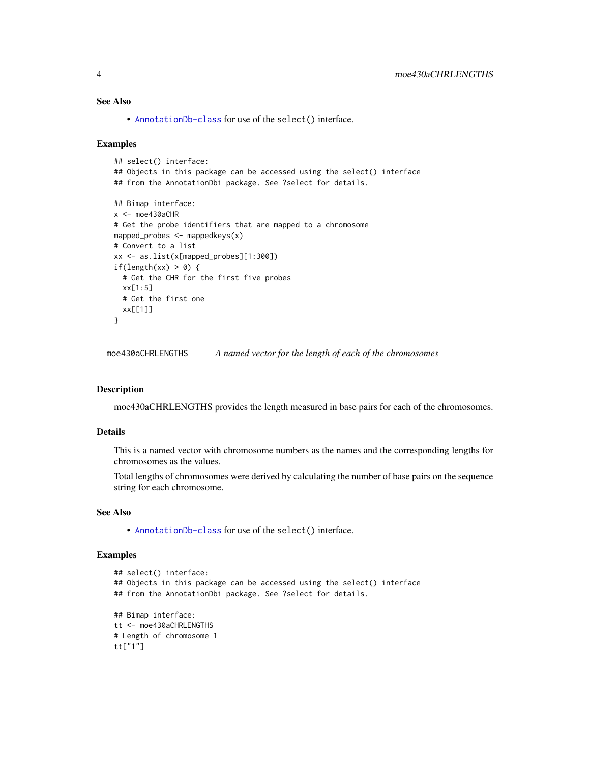# <span id="page-3-0"></span>See Also

• [AnnotationDb-class](#page-0-0) for use of the select() interface.

#### Examples

```
## select() interface:
## Objects in this package can be accessed using the select() interface
## from the AnnotationDbi package. See ?select for details.
## Bimap interface:
x < - moe430aCHR
# Get the probe identifiers that are mapped to a chromosome
mapped_probes <- mappedkeys(x)
# Convert to a list
xx <- as.list(x[mapped_probes][1:300])
if(length(xx) > 0) {
  # Get the CHR for the first five probes
  xx[1:5]
  # Get the first one
  xx[[1]]
}
```
moe430aCHRLENGTHS *A named vector for the length of each of the chromosomes*

# Description

moe430aCHRLENGTHS provides the length measured in base pairs for each of the chromosomes.

#### Details

This is a named vector with chromosome numbers as the names and the corresponding lengths for chromosomes as the values.

Total lengths of chromosomes were derived by calculating the number of base pairs on the sequence string for each chromosome.

# See Also

• [AnnotationDb-class](#page-0-0) for use of the select() interface.

```
## select() interface:
## Objects in this package can be accessed using the select() interface
## from the AnnotationDbi package. See ?select for details.
## Bimap interface:
tt <- moe430aCHRLENGTHS
# Length of chromosome 1
tt["1"]
```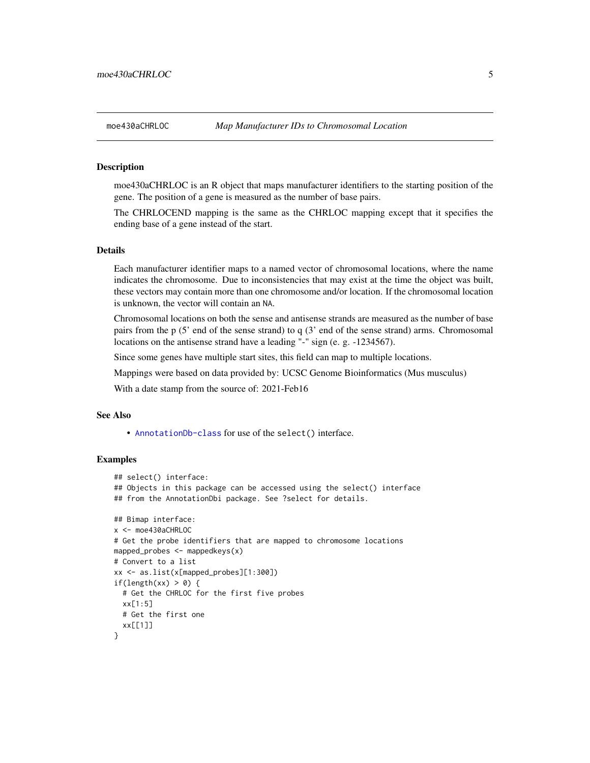<span id="page-4-0"></span>moe430aCHRLOC is an R object that maps manufacturer identifiers to the starting position of the gene. The position of a gene is measured as the number of base pairs.

The CHRLOCEND mapping is the same as the CHRLOC mapping except that it specifies the ending base of a gene instead of the start.

# Details

Each manufacturer identifier maps to a named vector of chromosomal locations, where the name indicates the chromosome. Due to inconsistencies that may exist at the time the object was built, these vectors may contain more than one chromosome and/or location. If the chromosomal location is unknown, the vector will contain an NA.

Chromosomal locations on both the sense and antisense strands are measured as the number of base pairs from the p (5' end of the sense strand) to q (3' end of the sense strand) arms. Chromosomal locations on the antisense strand have a leading "-" sign (e. g. -1234567).

Since some genes have multiple start sites, this field can map to multiple locations.

Mappings were based on data provided by: UCSC Genome Bioinformatics (Mus musculus)

With a date stamp from the source of: 2021-Feb16

# See Also

• [AnnotationDb-class](#page-0-0) for use of the select() interface.

```
## select() interface:
## Objects in this package can be accessed using the select() interface
## from the AnnotationDbi package. See ?select for details.
## Bimap interface:
x <- moe430aCHRLOC
# Get the probe identifiers that are mapped to chromosome locations
mapped_probes <- mappedkeys(x)
# Convert to a list
xx <- as.list(x[mapped_probes][1:300])
if(length(xx) > 0) {
 # Get the CHRLOC for the first five probes
 xx[1:5]
 # Get the first one
 xx[[1]]
}
```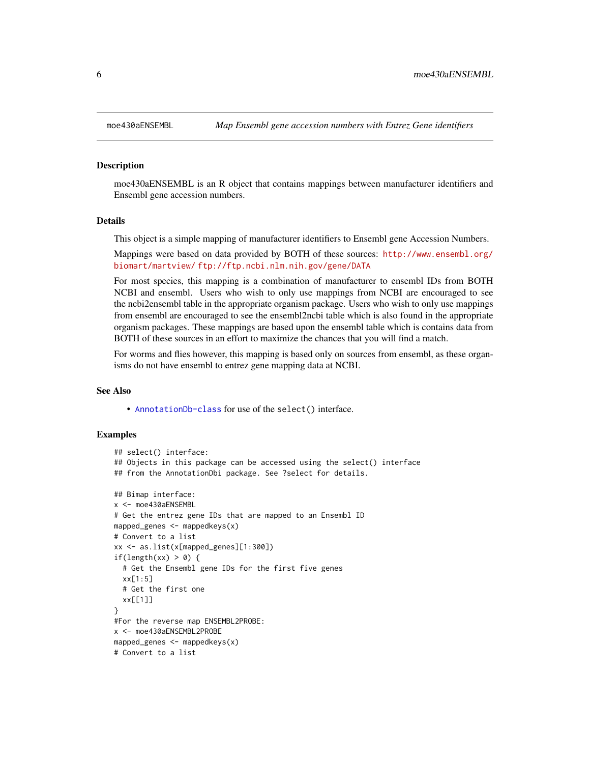moe430aENSEMBL is an R object that contains mappings between manufacturer identifiers and Ensembl gene accession numbers.

#### Details

This object is a simple mapping of manufacturer identifiers to Ensembl gene Accession Numbers.

Mappings were based on data provided by BOTH of these sources: [http://www.ensembl.org/](http://www.ensembl.org/biomart/martview/) [biomart/martview/](http://www.ensembl.org/biomart/martview/) <ftp://ftp.ncbi.nlm.nih.gov/gene/DATA>

For most species, this mapping is a combination of manufacturer to ensembl IDs from BOTH NCBI and ensembl. Users who wish to only use mappings from NCBI are encouraged to see the ncbi2ensembl table in the appropriate organism package. Users who wish to only use mappings from ensembl are encouraged to see the ensembl2ncbi table which is also found in the appropriate organism packages. These mappings are based upon the ensembl table which is contains data from BOTH of these sources in an effort to maximize the chances that you will find a match.

For worms and flies however, this mapping is based only on sources from ensembl, as these organisms do not have ensembl to entrez gene mapping data at NCBI.

#### See Also

• [AnnotationDb-class](#page-0-0) for use of the select() interface.

```
## select() interface:
## Objects in this package can be accessed using the select() interface
## from the AnnotationDbi package. See ?select for details.
## Bimap interface:
x <- moe430aENSEMBL
# Get the entrez gene IDs that are mapped to an Ensembl ID
mapped_genes \leq mappedkeys(x)
# Convert to a list
xx <- as.list(x[mapped_genes][1:300])
if(length(xx) > 0) {
 # Get the Ensembl gene IDs for the first five genes
 xx[1:5]
 # Get the first one
 xx[[1]]
}
#For the reverse map ENSEMBL2PROBE:
x <- moe430aENSEMBL2PROBE
mapped_genes <- mappedkeys(x)
# Convert to a list
```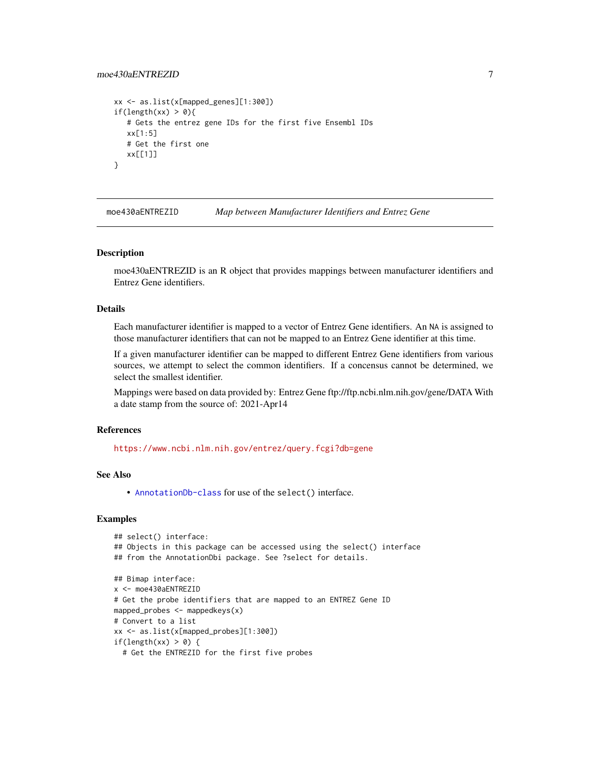# <span id="page-6-0"></span>moe430aENTREZID 7

```
xx <- as.list(x[mapped_genes][1:300])
if(length(xx) > 0){
   # Gets the entrez gene IDs for the first five Ensembl IDs
  xx[1:5]
  # Get the first one
  xx[[1]]
}
```
moe430aENTREZID *Map between Manufacturer Identifiers and Entrez Gene*

#### Description

moe430aENTREZID is an R object that provides mappings between manufacturer identifiers and Entrez Gene identifiers.

# Details

Each manufacturer identifier is mapped to a vector of Entrez Gene identifiers. An NA is assigned to those manufacturer identifiers that can not be mapped to an Entrez Gene identifier at this time.

If a given manufacturer identifier can be mapped to different Entrez Gene identifiers from various sources, we attempt to select the common identifiers. If a concensus cannot be determined, we select the smallest identifier.

Mappings were based on data provided by: Entrez Gene ftp://ftp.ncbi.nlm.nih.gov/gene/DATA With a date stamp from the source of: 2021-Apr14

# References

<https://www.ncbi.nlm.nih.gov/entrez/query.fcgi?db=gene>

# See Also

• [AnnotationDb-class](#page-0-0) for use of the select() interface.

```
## select() interface:
## Objects in this package can be accessed using the select() interface
## from the AnnotationDbi package. See ?select for details.
## Bimap interface:
x <- moe430aENTREZID
# Get the probe identifiers that are mapped to an ENTREZ Gene ID
mapped_probes <- mappedkeys(x)
# Convert to a list
xx <- as.list(x[mapped_probes][1:300])
if(length(xx) > 0) {
 # Get the ENTREZID for the first five probes
```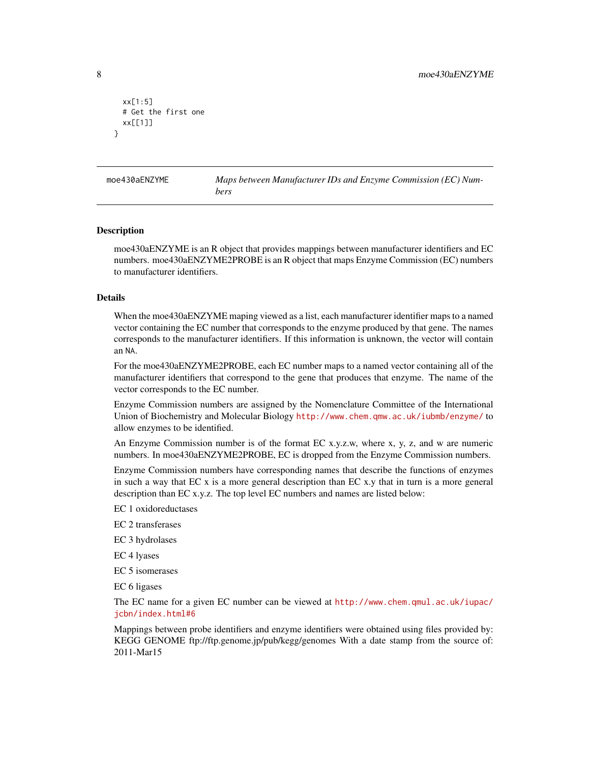```
xx[1:5]
 # Get the first one
 xx[[1]]
}
```
moe430aENZYME *Maps between Manufacturer IDs and Enzyme Commission (EC) Numbers*

#### Description

moe430aENZYME is an R object that provides mappings between manufacturer identifiers and EC numbers. moe430aENZYME2PROBE is an R object that maps Enzyme Commission (EC) numbers to manufacturer identifiers.

#### Details

When the moe430aENZYME maping viewed as a list, each manufacturer identifier maps to a named vector containing the EC number that corresponds to the enzyme produced by that gene. The names corresponds to the manufacturer identifiers. If this information is unknown, the vector will contain an NA.

For the moe430aENZYME2PROBE, each EC number maps to a named vector containing all of the manufacturer identifiers that correspond to the gene that produces that enzyme. The name of the vector corresponds to the EC number.

Enzyme Commission numbers are assigned by the Nomenclature Committee of the International Union of Biochemistry and Molecular Biology <http://www.chem.qmw.ac.uk/iubmb/enzyme/> to allow enzymes to be identified.

An Enzyme Commission number is of the format EC x.y.z.w, where x, y, z, and w are numeric numbers. In moe430aENZYME2PROBE, EC is dropped from the Enzyme Commission numbers.

Enzyme Commission numbers have corresponding names that describe the functions of enzymes in such a way that EC x is a more general description than EC x.y that in turn is a more general description than EC x.y.z. The top level EC numbers and names are listed below:

EC 1 oxidoreductases

EC 2 transferases

EC 3 hydrolases

EC 4 lyases

EC 5 isomerases

EC 6 ligases

The EC name for a given EC number can be viewed at [http://www.chem.qmul.ac.uk/iupac/](http://www.chem.qmul.ac.uk/iupac/jcbn/index.html#6) [jcbn/index.html#6](http://www.chem.qmul.ac.uk/iupac/jcbn/index.html#6)

Mappings between probe identifiers and enzyme identifiers were obtained using files provided by: KEGG GENOME ftp://ftp.genome.jp/pub/kegg/genomes With a date stamp from the source of: 2011-Mar15

<span id="page-7-0"></span>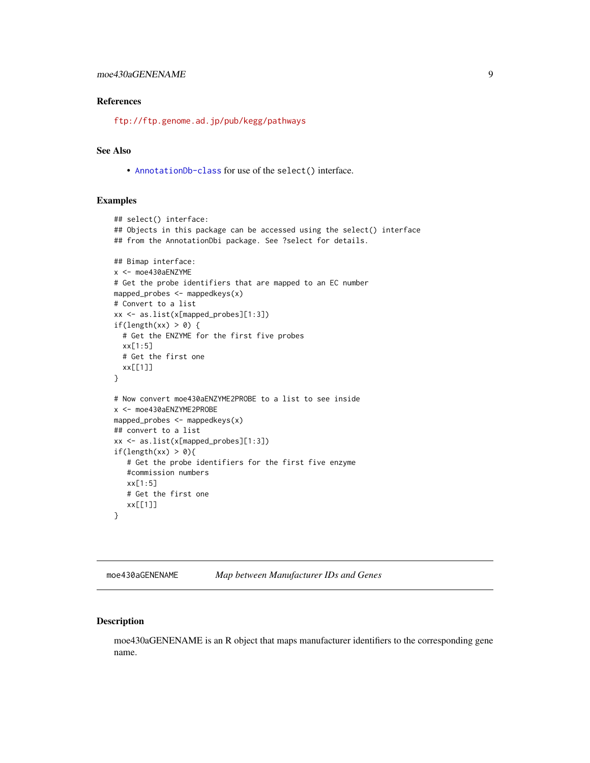# <span id="page-8-0"></span>moe430aGENENAME 9

# References

<ftp://ftp.genome.ad.jp/pub/kegg/pathways>

# See Also

• [AnnotationDb-class](#page-0-0) for use of the select() interface.

#### Examples

```
## select() interface:
## Objects in this package can be accessed using the select() interface
## from the AnnotationDbi package. See ?select for details.
## Bimap interface:
x <- moe430aENZYME
# Get the probe identifiers that are mapped to an EC number
mapped_probes <- mappedkeys(x)
# Convert to a list
xx <- as.list(x[mapped_probes][1:3])
if(length(xx) > 0) {
  # Get the ENZYME for the first five probes
  xx[1:5]
  # Get the first one
  xx[[1]]
}
# Now convert moe430aENZYME2PROBE to a list to see inside
x <- moe430aENZYME2PROBE
mapped_probes \leq mappedkeys(x)
## convert to a list
xx <- as.list(x[mapped_probes][1:3])
if(length(xx) > 0){
   # Get the probe identifiers for the first five enzyme
   #commission numbers
   xx[1:5]
   # Get the first one
  xx[[1]]
}
```
moe430aGENENAME *Map between Manufacturer IDs and Genes*

# Description

moe430aGENENAME is an R object that maps manufacturer identifiers to the corresponding gene name.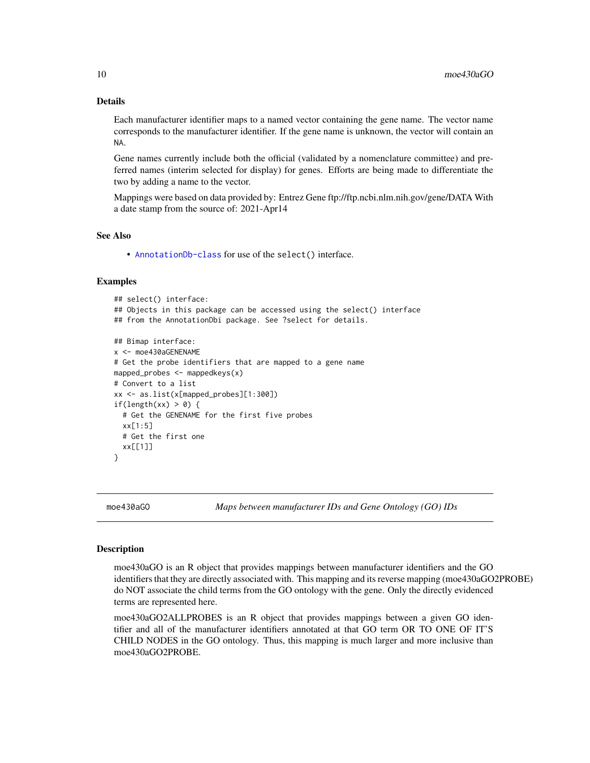# Details

Each manufacturer identifier maps to a named vector containing the gene name. The vector name corresponds to the manufacturer identifier. If the gene name is unknown, the vector will contain an NA.

Gene names currently include both the official (validated by a nomenclature committee) and preferred names (interim selected for display) for genes. Efforts are being made to differentiate the two by adding a name to the vector.

Mappings were based on data provided by: Entrez Gene ftp://ftp.ncbi.nlm.nih.gov/gene/DATA With a date stamp from the source of: 2021-Apr14

#### See Also

• [AnnotationDb-class](#page-0-0) for use of the select() interface.

# Examples

```
## select() interface:
## Objects in this package can be accessed using the select() interface
## from the AnnotationDbi package. See ?select for details.
## Bimap interface:
x <- moe430aGENENAME
# Get the probe identifiers that are mapped to a gene name
mapped_probes \leq mappedkeys(x)
# Convert to a list
xx <- as.list(x[mapped_probes][1:300])
if(length(xx) > 0) {
  # Get the GENENAME for the first five probes
  xx[1:5]
  # Get the first one
  xx[[1]]
}
```
moe430aGO *Maps between manufacturer IDs and Gene Ontology (GO) IDs*

#### <span id="page-9-0"></span>**Description**

moe430aGO is an R object that provides mappings between manufacturer identifiers and the GO identifiers that they are directly associated with. This mapping and its reverse mapping (moe430aGO2PROBE) do NOT associate the child terms from the GO ontology with the gene. Only the directly evidenced terms are represented here.

moe430aGO2ALLPROBES is an R object that provides mappings between a given GO identifier and all of the manufacturer identifiers annotated at that GO term OR TO ONE OF IT'S CHILD NODES in the GO ontology. Thus, this mapping is much larger and more inclusive than moe430aGO2PROBE.

<span id="page-9-1"></span>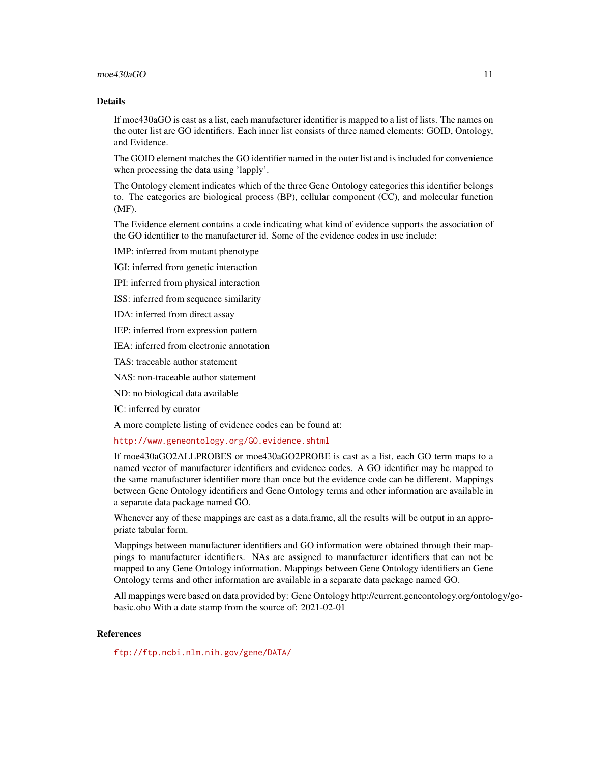#### $\text{moe430aGO}$  11

# Details

If moe430aGO is cast as a list, each manufacturer identifier is mapped to a list of lists. The names on the outer list are GO identifiers. Each inner list consists of three named elements: GOID, Ontology, and Evidence.

The GOID element matches the GO identifier named in the outer list and is included for convenience when processing the data using 'lapply'.

The Ontology element indicates which of the three Gene Ontology categories this identifier belongs to. The categories are biological process (BP), cellular component (CC), and molecular function (MF).

The Evidence element contains a code indicating what kind of evidence supports the association of the GO identifier to the manufacturer id. Some of the evidence codes in use include:

IMP: inferred from mutant phenotype

IGI: inferred from genetic interaction

IPI: inferred from physical interaction

ISS: inferred from sequence similarity

IDA: inferred from direct assay

IEP: inferred from expression pattern

IEA: inferred from electronic annotation

TAS: traceable author statement

NAS: non-traceable author statement

ND: no biological data available

IC: inferred by curator

A more complete listing of evidence codes can be found at:

<http://www.geneontology.org/GO.evidence.shtml>

If moe430aGO2ALLPROBES or moe430aGO2PROBE is cast as a list, each GO term maps to a named vector of manufacturer identifiers and evidence codes. A GO identifier may be mapped to the same manufacturer identifier more than once but the evidence code can be different. Mappings between Gene Ontology identifiers and Gene Ontology terms and other information are available in a separate data package named GO.

Whenever any of these mappings are cast as a data.frame, all the results will be output in an appropriate tabular form.

Mappings between manufacturer identifiers and GO information were obtained through their mappings to manufacturer identifiers. NAs are assigned to manufacturer identifiers that can not be mapped to any Gene Ontology information. Mappings between Gene Ontology identifiers an Gene Ontology terms and other information are available in a separate data package named GO.

All mappings were based on data provided by: Gene Ontology http://current.geneontology.org/ontology/gobasic.obo With a date stamp from the source of: 2021-02-01

#### References

<ftp://ftp.ncbi.nlm.nih.gov/gene/DATA/>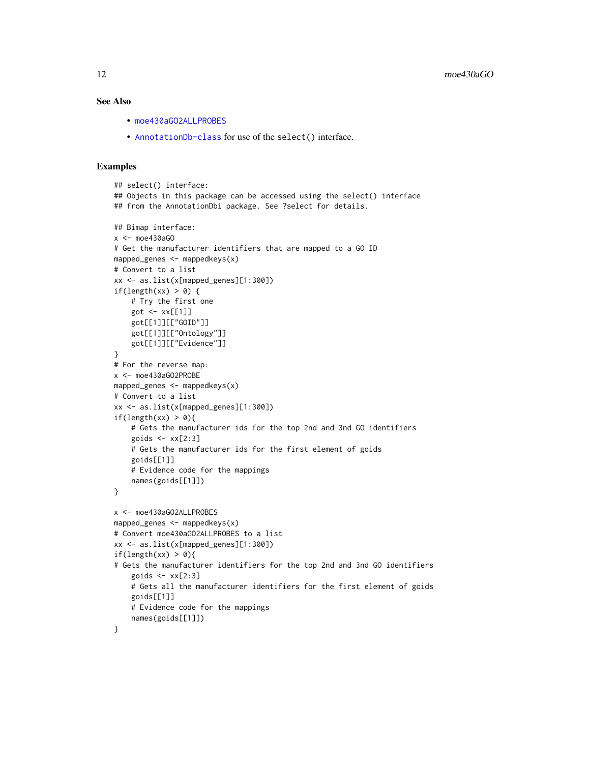#### See Also

- [moe430aGO2ALLPROBES](#page-9-0)
- [AnnotationDb-class](#page-0-0) for use of the select() interface.

```
## select() interface:
## Objects in this package can be accessed using the select() interface
## from the AnnotationDbi package. See ?select for details.
## Bimap interface:
x <- moe430aGO
# Get the manufacturer identifiers that are mapped to a GO ID
mapped_genes <- mappedkeys(x)
# Convert to a list
xx <- as.list(x[mapped_genes][1:300])
if(length(xx) > 0) {
    # Try the first one
   got \leq -xx[[1]]got[[1]][["GOID"]]
    got[[1]][["Ontology"]]
    got[[1]][["Evidence"]]
}
# For the reverse map:
x <- moe430aGO2PROBE
mapped_genes <- mappedkeys(x)
# Convert to a list
xx <- as.list(x[mapped_genes][1:300])
if(length(xx) > 0){
    # Gets the manufacturer ids for the top 2nd and 3nd GO identifiers
    goids \leq -x \times [2:3]# Gets the manufacturer ids for the first element of goids
    goids[[1]]
    # Evidence code for the mappings
   names(goids[[1]])
}
x <- moe430aGO2ALLPROBES
mapped_genes <- mappedkeys(x)
# Convert moe430aGO2ALLPROBES to a list
xx <- as.list(x[mapped_genes][1:300])
if(length(xx) > 0){
# Gets the manufacturer identifiers for the top 2nd and 3nd GO identifiers
    goids \leq xx[2:3]# Gets all the manufacturer identifiers for the first element of goids
   goids[[1]]
    # Evidence code for the mappings
   names(goids[[1]])
}
```
<span id="page-11-0"></span>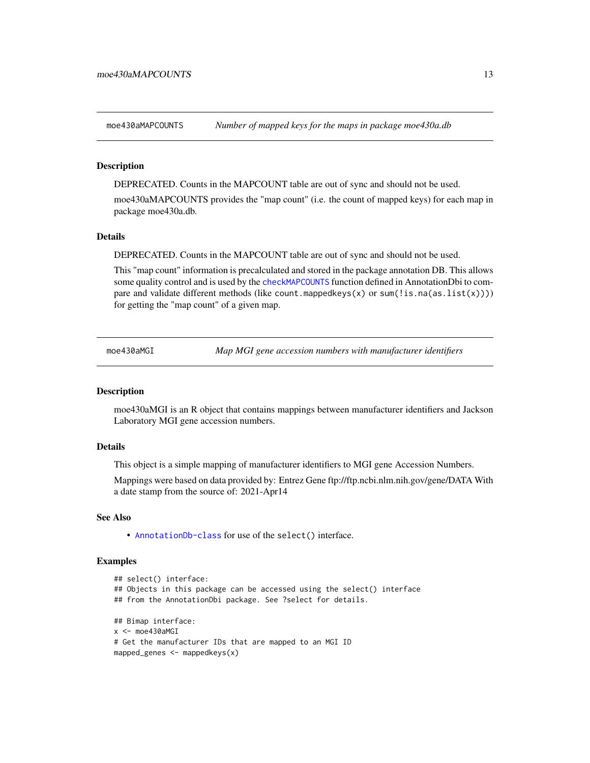<span id="page-12-0"></span>moe430aMAPCOUNTS *Number of mapped keys for the maps in package moe430a.db*

#### **Description**

DEPRECATED. Counts in the MAPCOUNT table are out of sync and should not be used.

moe430aMAPCOUNTS provides the "map count" (i.e. the count of mapped keys) for each map in package moe430a.db.

## Details

DEPRECATED. Counts in the MAPCOUNT table are out of sync and should not be used.

This "map count" information is precalculated and stored in the package annotation DB. This allows some quality control and is used by the [checkMAPCOUNTS](#page-0-0) function defined in AnnotationDbi to compare and validate different methods (like count.mappedkeys(x) or sum(!is.na(as.list(x)))) for getting the "map count" of a given map.

moe430aMGI *Map MGI gene accession numbers with manufacturer identifiers*

#### **Description**

moe430aMGI is an R object that contains mappings between manufacturer identifiers and Jackson Laboratory MGI gene accession numbers.

#### Details

This object is a simple mapping of manufacturer identifiers to MGI gene Accession Numbers.

Mappings were based on data provided by: Entrez Gene ftp://ftp.ncbi.nlm.nih.gov/gene/DATA With a date stamp from the source of: 2021-Apr14

## See Also

• [AnnotationDb-class](#page-0-0) for use of the select() interface.

```
## select() interface:
## Objects in this package can be accessed using the select() interface
## from the AnnotationDbi package. See ?select for details.
## Bimap interface:
x < - moe430aMGI
# Get the manufacturer IDs that are mapped to an MGI ID
mapped_genes <- mappedkeys(x)
```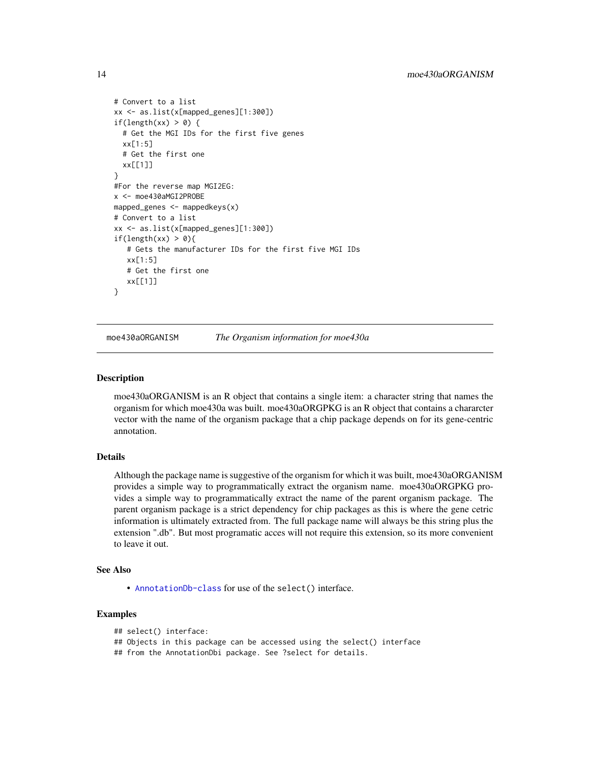```
# Convert to a list
xx <- as.list(x[mapped_genes][1:300])
if(length(xx) > 0) {
 # Get the MGI IDs for the first five genes
 xx[1:5]
 # Get the first one
 xx[[1]]
}
#For the reverse map MGI2EG:
x <- moe430aMGI2PROBE
mapped_genes <- mappedkeys(x)
# Convert to a list
xx <- as.list(x[mapped_genes][1:300])
if(length(xx) > 0){
   # Gets the manufacturer IDs for the first five MGI IDs
  xx[1:5]
  # Get the first one
  xx[[1]]
}
```
moe430aORGANISM *The Organism information for moe430a*

#### **Description**

moe430aORGANISM is an R object that contains a single item: a character string that names the organism for which moe430a was built. moe430aORGPKG is an R object that contains a chararcter vector with the name of the organism package that a chip package depends on for its gene-centric annotation.

# Details

Although the package name is suggestive of the organism for which it was built, moe430aORGANISM provides a simple way to programmatically extract the organism name. moe430aORGPKG provides a simple way to programmatically extract the name of the parent organism package. The parent organism package is a strict dependency for chip packages as this is where the gene cetric information is ultimately extracted from. The full package name will always be this string plus the extension ".db". But most programatic acces will not require this extension, so its more convenient to leave it out.

#### See Also

• [AnnotationDb-class](#page-0-0) for use of the select() interface.

```
## select() interface:
## Objects in this package can be accessed using the select() interface
## from the AnnotationDbi package. See ?select for details.
```
<span id="page-13-0"></span>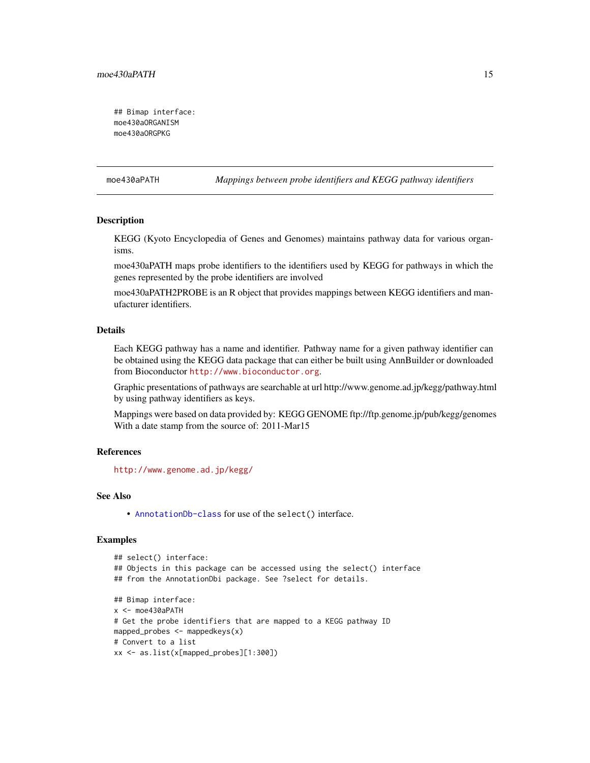<span id="page-14-0"></span>## Bimap interface: moe430aORGANISM moe430aORGPKG

moe430aPATH *Mappings between probe identifiers and KEGG pathway identifiers*

# Description

KEGG (Kyoto Encyclopedia of Genes and Genomes) maintains pathway data for various organisms.

moe430aPATH maps probe identifiers to the identifiers used by KEGG for pathways in which the genes represented by the probe identifiers are involved

moe430aPATH2PROBE is an R object that provides mappings between KEGG identifiers and manufacturer identifiers.

#### Details

Each KEGG pathway has a name and identifier. Pathway name for a given pathway identifier can be obtained using the KEGG data package that can either be built using AnnBuilder or downloaded from Bioconductor <http://www.bioconductor.org>.

Graphic presentations of pathways are searchable at url http://www.genome.ad.jp/kegg/pathway.html by using pathway identifiers as keys.

Mappings were based on data provided by: KEGG GENOME ftp://ftp.genome.jp/pub/kegg/genomes With a date stamp from the source of: 2011-Mar15

# References

<http://www.genome.ad.jp/kegg/>

# See Also

• [AnnotationDb-class](#page-0-0) for use of the select() interface.

```
## select() interface:
## Objects in this package can be accessed using the select() interface
## from the AnnotationDbi package. See ?select for details.
## Bimap interface:
x <- moe430aPATH
# Get the probe identifiers that are mapped to a KEGG pathway ID
mapped_probes <- mappedkeys(x)
# Convert to a list
xx <- as.list(x[mapped_probes][1:300])
```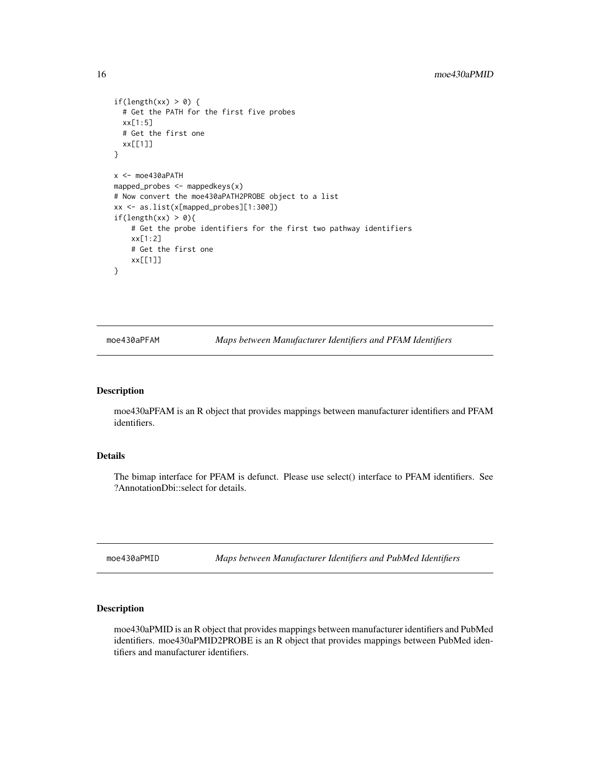```
if(length(xx) > 0) {
  # Get the PATH for the first five probes
  xx[1:5]
  # Get the first one
  xx[[1]]
}
x <- moe430aPATH
mapped_probes \leq mappedkeys(x)
# Now convert the moe430aPATH2PROBE object to a list
xx <- as.list(x[mapped_probes][1:300])
if(length(xx) > \theta){
    # Get the probe identifiers for the first two pathway identifiers
    xx[1:2]
    # Get the first one
    xx[[1]]
}
```
moe430aPFAM *Maps between Manufacturer Identifiers and PFAM Identifiers*

#### Description

moe430aPFAM is an R object that provides mappings between manufacturer identifiers and PFAM identifiers.

# Details

The bimap interface for PFAM is defunct. Please use select() interface to PFAM identifiers. See ?AnnotationDbi::select for details.

moe430aPMID *Maps between Manufacturer Identifiers and PubMed Identifiers*

# Description

moe430aPMID is an R object that provides mappings between manufacturer identifiers and PubMed identifiers. moe430aPMID2PROBE is an R object that provides mappings between PubMed identifiers and manufacturer identifiers.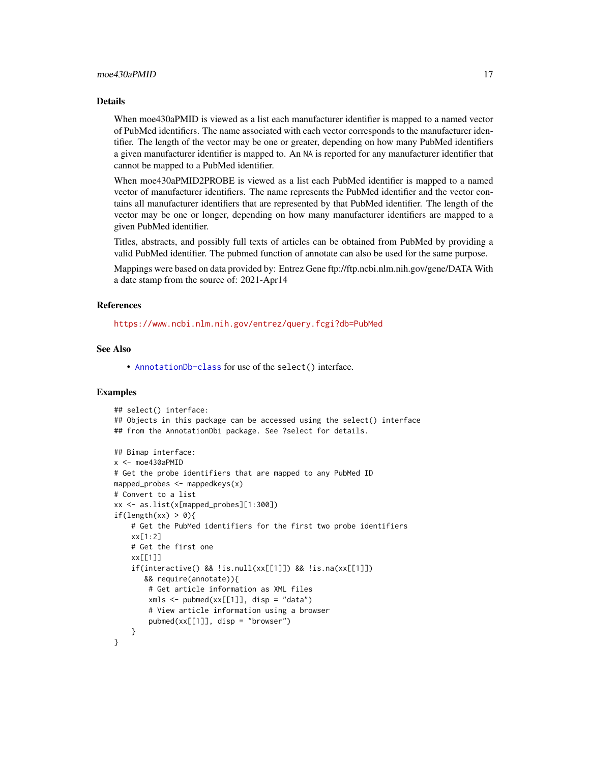# Details

When moe430aPMID is viewed as a list each manufacturer identifier is mapped to a named vector of PubMed identifiers. The name associated with each vector corresponds to the manufacturer identifier. The length of the vector may be one or greater, depending on how many PubMed identifiers a given manufacturer identifier is mapped to. An NA is reported for any manufacturer identifier that cannot be mapped to a PubMed identifier.

When moe430aPMID2PROBE is viewed as a list each PubMed identifier is mapped to a named vector of manufacturer identifiers. The name represents the PubMed identifier and the vector contains all manufacturer identifiers that are represented by that PubMed identifier. The length of the vector may be one or longer, depending on how many manufacturer identifiers are mapped to a given PubMed identifier.

Titles, abstracts, and possibly full texts of articles can be obtained from PubMed by providing a valid PubMed identifier. The pubmed function of annotate can also be used for the same purpose.

Mappings were based on data provided by: Entrez Gene ftp://ftp.ncbi.nlm.nih.gov/gene/DATA With a date stamp from the source of: 2021-Apr14

#### References

<https://www.ncbi.nlm.nih.gov/entrez/query.fcgi?db=PubMed>

# See Also

• [AnnotationDb-class](#page-0-0) for use of the select() interface.

```
## select() interface:
## Objects in this package can be accessed using the select() interface
## from the AnnotationDbi package. See ?select for details.
## Bimap interface:
x <- moe430aPMID
# Get the probe identifiers that are mapped to any PubMed ID
mapped_probes \leq mappedkeys(x)
# Convert to a list
xx <- as.list(x[mapped_probes][1:300])
if(length(xx) > 0)# Get the PubMed identifiers for the first two probe identifiers
    xx[1:2]
    # Get the first one
    xx[[1]]
    if(interactive() && !is.null(xx[[1]]) && !is.na(xx[[1]])
       && require(annotate)){
        # Get article information as XML files
        xmls < -pubmed(xx[[1]], disp = "data")# View article information using a browser
        pubmed(xx[[1]], disp = "browser")
    }
}
```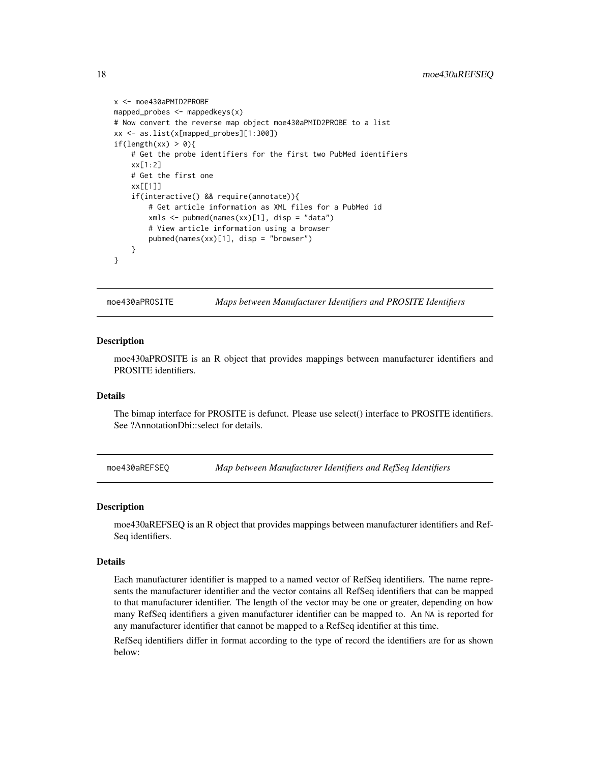```
x <- moe430aPMID2PROBE
mapped_probes <- mappedkeys(x)
# Now convert the reverse map object moe430aPMID2PROBE to a list
xx <- as.list(x[mapped_probes][1:300])
if(length(xx) > 0){
    # Get the probe identifiers for the first two PubMed identifiers
    xx[1:2]
    # Get the first one
   xx[[1]]
    if(interactive() && require(annotate)){
        # Get article information as XML files for a PubMed id
        xmls <- pubmed(names(xx)[1], disp = "data")
        # View article information using a browser
        pubmed(names(xx)[1], disp = "browser")
   }
}
```
moe430aPROSITE *Maps between Manufacturer Identifiers and PROSITE Identifiers*

#### **Description**

moe430aPROSITE is an R object that provides mappings between manufacturer identifiers and PROSITE identifiers.

# Details

The bimap interface for PROSITE is defunct. Please use select() interface to PROSITE identifiers. See ?AnnotationDbi::select for details.

moe430aREFSEQ *Map between Manufacturer Identifiers and RefSeq Identifiers*

#### Description

moe430aREFSEQ is an R object that provides mappings between manufacturer identifiers and Ref-Seq identifiers.

#### Details

Each manufacturer identifier is mapped to a named vector of RefSeq identifiers. The name represents the manufacturer identifier and the vector contains all RefSeq identifiers that can be mapped to that manufacturer identifier. The length of the vector may be one or greater, depending on how many RefSeq identifiers a given manufacturer identifier can be mapped to. An NA is reported for any manufacturer identifier that cannot be mapped to a RefSeq identifier at this time.

RefSeq identifiers differ in format according to the type of record the identifiers are for as shown below:

<span id="page-17-0"></span>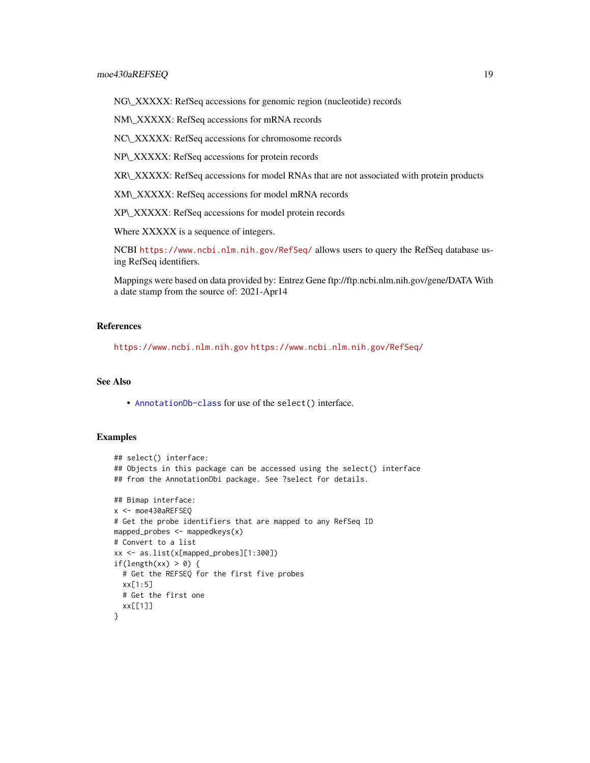NG\\_XXXXX: RefSeq accessions for genomic region (nucleotide) records

NM\\_XXXXX: RefSeq accessions for mRNA records

NC\\_XXXXX: RefSeq accessions for chromosome records

NP\\_XXXXX: RefSeq accessions for protein records

XR\\_XXXXX: RefSeq accessions for model RNAs that are not associated with protein products

XM\\_XXXXX: RefSeq accessions for model mRNA records

XP\\_XXXXX: RefSeq accessions for model protein records

Where XXXXX is a sequence of integers.

NCBI <https://www.ncbi.nlm.nih.gov/RefSeq/> allows users to query the RefSeq database using RefSeq identifiers.

Mappings were based on data provided by: Entrez Gene ftp://ftp.ncbi.nlm.nih.gov/gene/DATA With a date stamp from the source of: 2021-Apr14

# References

<https://www.ncbi.nlm.nih.gov> <https://www.ncbi.nlm.nih.gov/RefSeq/>

# See Also

• [AnnotationDb-class](#page-0-0) for use of the select() interface.

```
## select() interface:
## Objects in this package can be accessed using the select() interface
## from the AnnotationDbi package. See ?select for details.
## Bimap interface:
x <- moe430aREFSEQ
# Get the probe identifiers that are mapped to any RefSeq ID
mapped_probes <- mappedkeys(x)
# Convert to a list
xx <- as.list(x[mapped_probes][1:300])
if(length(xx) > 0) {
  # Get the REFSEQ for the first five probes
  xx[1:5]
  # Get the first one
  xx[[1]]
}
```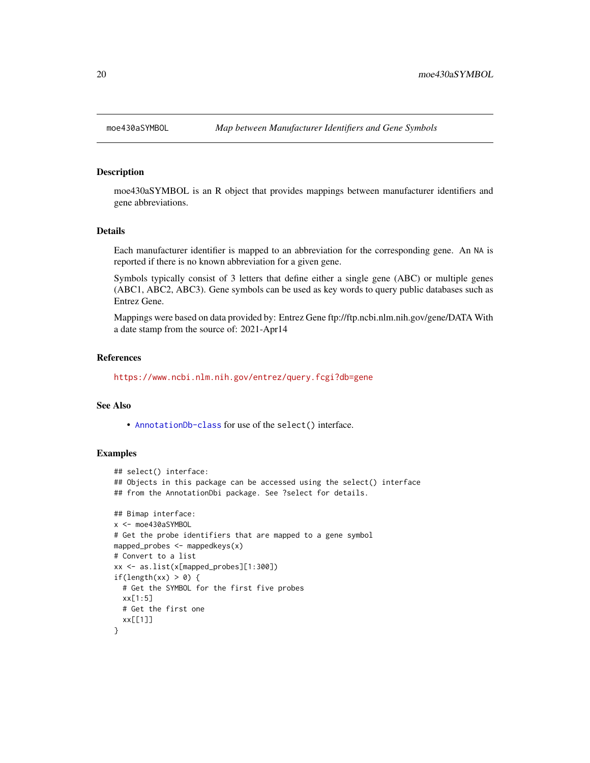<span id="page-19-0"></span>

moe430aSYMBOL is an R object that provides mappings between manufacturer identifiers and gene abbreviations.

#### Details

Each manufacturer identifier is mapped to an abbreviation for the corresponding gene. An NA is reported if there is no known abbreviation for a given gene.

Symbols typically consist of 3 letters that define either a single gene (ABC) or multiple genes (ABC1, ABC2, ABC3). Gene symbols can be used as key words to query public databases such as Entrez Gene.

Mappings were based on data provided by: Entrez Gene ftp://ftp.ncbi.nlm.nih.gov/gene/DATA With a date stamp from the source of: 2021-Apr14

#### References

<https://www.ncbi.nlm.nih.gov/entrez/query.fcgi?db=gene>

#### See Also

• [AnnotationDb-class](#page-0-0) for use of the select() interface.

```
## select() interface:
## Objects in this package can be accessed using the select() interface
## from the AnnotationDbi package. See ?select for details.
## Bimap interface:
x <- moe430aSYMBOL
# Get the probe identifiers that are mapped to a gene symbol
mapped_probes <- mappedkeys(x)
# Convert to a list
xx <- as.list(x[mapped_probes][1:300])
if(length(xx) > 0) {
  # Get the SYMBOL for the first five probes
  xx[1:5]
  # Get the first one
  xx[[1]]
}
```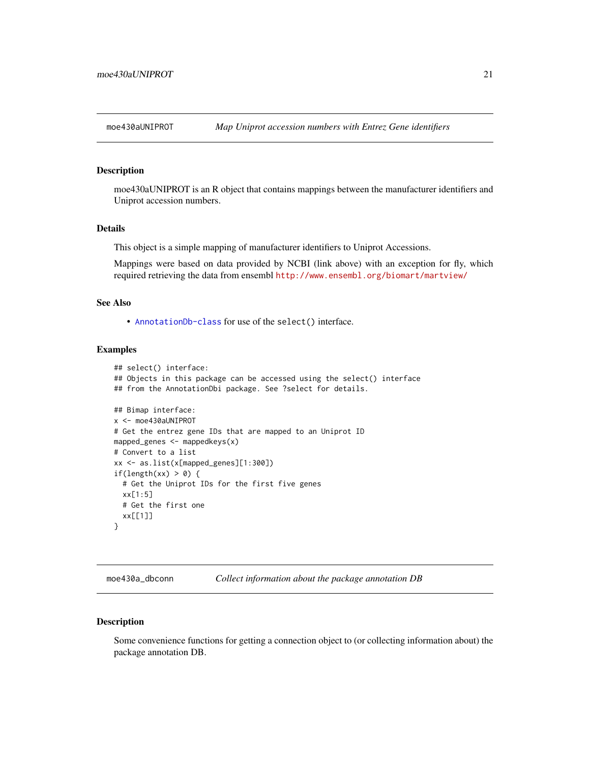<span id="page-20-0"></span>

moe430aUNIPROT is an R object that contains mappings between the manufacturer identifiers and Uniprot accession numbers.

#### Details

This object is a simple mapping of manufacturer identifiers to Uniprot Accessions.

Mappings were based on data provided by NCBI (link above) with an exception for fly, which required retrieving the data from ensembl <http://www.ensembl.org/biomart/martview/>

# See Also

• [AnnotationDb-class](#page-0-0) for use of the select() interface.

# Examples

```
## select() interface:
## Objects in this package can be accessed using the select() interface
## from the AnnotationDbi package. See ?select for details.
## Bimap interface:
x <- moe430aUNIPROT
# Get the entrez gene IDs that are mapped to an Uniprot ID
mapped_genes <- mappedkeys(x)
# Convert to a list
xx <- as.list(x[mapped_genes][1:300])
if(length(xx) > 0) {
  # Get the Uniprot IDs for the first five genes
  xx[1:5]
  # Get the first one
  xx[[1]]
}
```
moe430a\_dbconn *Collect information about the package annotation DB*

#### Description

Some convenience functions for getting a connection object to (or collecting information about) the package annotation DB.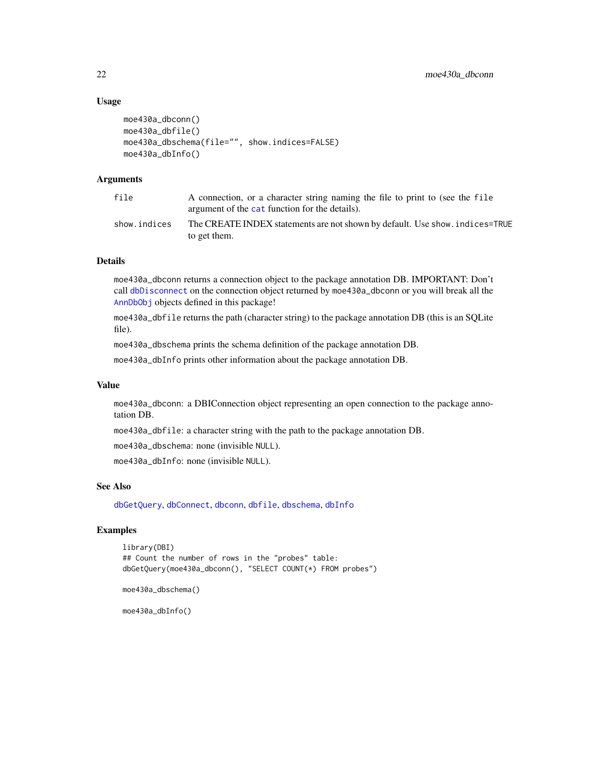# Usage

```
moe430a_dbconn()
moe430a_dbfile()
moe430a_dbschema(file="", show.indices=FALSE)
moe430a_dbInfo()
```
# Arguments

| file         | A connection, or a character string naming the file to print to (see the file<br>argument of the cat function for the details). |
|--------------|---------------------------------------------------------------------------------------------------------------------------------|
| show.indices | The CREATE INDEX statements are not shown by default. Use show, indices=TRUE<br>to get them.                                    |

# Details

moe430a\_dbconn returns a connection object to the package annotation DB. IMPORTANT: Don't call [dbDisconnect](#page-0-0) on the connection object returned by moe430a\_dbconn or you will break all the [AnnDbObj](#page-0-0) objects defined in this package!

moe430a\_dbfile returns the path (character string) to the package annotation DB (this is an SQLite file).

moe430a\_dbschema prints the schema definition of the package annotation DB.

moe430a\_dbInfo prints other information about the package annotation DB.

#### Value

moe430a\_dbconn: a DBIConnection object representing an open connection to the package annotation DB.

moe430a\_dbfile: a character string with the path to the package annotation DB.

moe430a\_dbschema: none (invisible NULL).

moe430a\_dbInfo: none (invisible NULL).

# See Also

[dbGetQuery](#page-0-0), [dbConnect](#page-0-0), [dbconn](#page-0-0), [dbfile](#page-0-0), [dbschema](#page-0-0), [dbInfo](#page-0-0)

# Examples

```
library(DBI)
## Count the number of rows in the "probes" table:
dbGetQuery(moe430a_dbconn(), "SELECT COUNT(*) FROM probes")
```

```
moe430a_dbschema()
```
moe430a\_dbInfo()

<span id="page-21-0"></span>